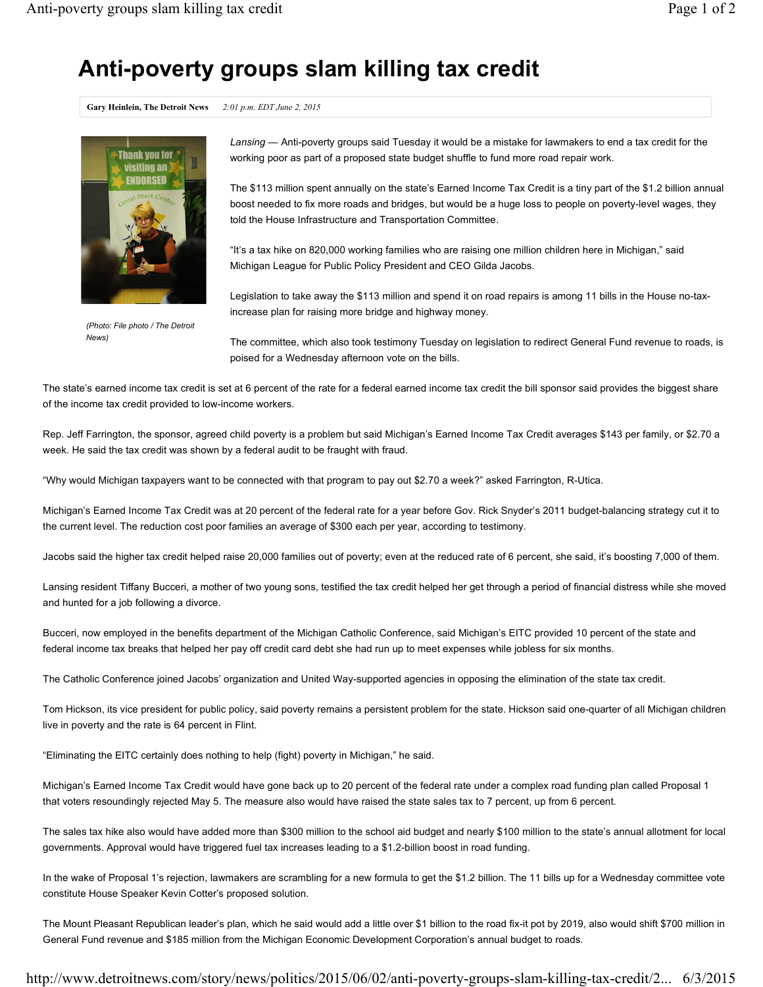## **Anti-poverty groups slam killing tax credit**

**Gary Heinlein, The Detroit News** *2:01 p.m. EDT June 2, 2015*



*(Photo: File photo / The Detroit News)*

*Lansing* — Anti-poverty groups said Tuesday it would be a mistake for lawmakers to end a tax credit for the working poor as part of a proposed state budget shuffle to fund more road repair work.

The \$113 million spent annually on the state's Earned Income Tax Credit is a tiny part of the \$1.2 billion annual boost needed to fix more roads and bridges, but would be a huge loss to people on poverty-level wages, they told the House Infrastructure and Transportation Committee.

"It's a tax hike on 820,000 working families who are raising one million children here in Michigan," said Michigan League for Public Policy President and CEO Gilda Jacobs.

Legislation to take away the \$113 million and spend it on road repairs is among 11 bills in the House no-taxincrease plan for raising more bridge and highway money.

The committee, which also took testimony Tuesday on legislation to redirect General Fund revenue to roads, is poised for a Wednesday afternoon vote on the bills.

The state's earned income tax credit is set at 6 percent of the rate for a federal earned income tax credit the bill sponsor said provides the biggest share of the income tax credit provided to low-income workers.

Rep. Jeff Farrington, the sponsor, agreed child poverty is a problem but said Michigan's Earned Income Tax Credit averages \$143 per family, or \$2.70 a week. He said the tax credit was shown by a federal audit to be fraught with fraud.

"Why would Michigan taxpayers want to be connected with that program to pay out \$2.70 a week?" asked Farrington, R-Utica.

Michigan's Earned Income Tax Credit was at 20 percent of the federal rate for a year before Gov. Rick Snyder's 2011 budget-balancing strategy cut it to the current level. The reduction cost poor families an average of \$300 each per year, according to testimony.

Jacobs said the higher tax credit helped raise 20,000 families out of poverty; even at the reduced rate of 6 percent, she said, it's boosting 7,000 of them.

Lansing resident Tiffany Bucceri, a mother of two young sons, testified the tax credit helped her get through a period of financial distress while she moved and hunted for a job following a divorce.

Bucceri, now employed in the benefits department of the Michigan Catholic Conference, said Michigan's EITC provided 10 percent of the state and federal income tax breaks that helped her pay off credit card debt she had run up to meet expenses while jobless for six months.

The Catholic Conference joined Jacobs' organization and United Way-supported agencies in opposing the elimination of the state tax credit.

Tom Hickson, its vice president for public policy, said poverty remains a persistent problem for the state. Hickson said one-quarter of all Michigan children live in poverty and the rate is 64 percent in Flint.

"Eliminating the EITC certainly does nothing to help (fight) poverty in Michigan," he said.

Michigan's Earned Income Tax Credit would have gone back up to 20 percent of the federal rate under a complex road funding plan called Proposal 1 that voters resoundingly rejected May 5. The measure also would have raised the state sales tax to 7 percent, up from 6 percent.

The sales tax hike also would have added more than \$300 million to the school aid budget and nearly \$100 million to the state's annual allotment for local governments. Approval would have triggered fuel tax increases leading to a \$1.2-billion boost in road funding.

In the wake of Proposal 1's rejection, lawmakers are scrambling for a new formula to get the \$1.2 billion. The 11 bills up for a Wednesday committee vote constitute House Speaker Kevin Cotter's proposed solution.

The Mount Pleasant Republican leader's plan, which he said would add a little over \$1 billion to the road fix-it pot by 2019, also would shift \$700 million in General Fund revenue and \$185 million from the Michigan Economic Development Corporation's annual budget to roads.